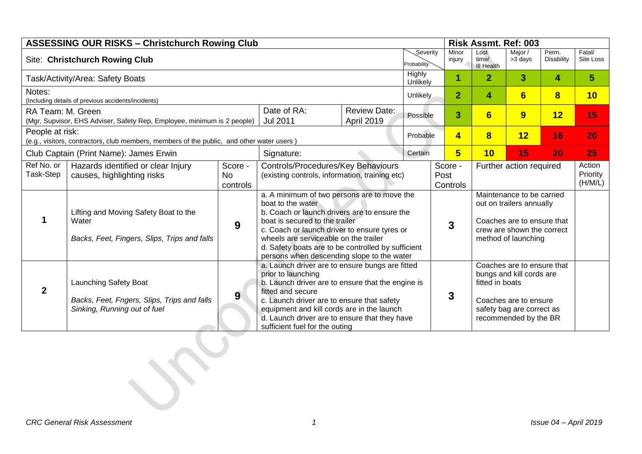| <b>ASSESSING OUR RISKS - Christchurch Rowing Club</b><br><b>Risk Assmt. Ref: 003</b>                         |                                                                                                      |                                  |                                                                                                                                                                                                                                                                                                                                                 |                                   |                         |                         |                 |                                    |                                                                                                                                          |                               |                     |
|--------------------------------------------------------------------------------------------------------------|------------------------------------------------------------------------------------------------------|----------------------------------|-------------------------------------------------------------------------------------------------------------------------------------------------------------------------------------------------------------------------------------------------------------------------------------------------------------------------------------------------|-----------------------------------|-------------------------|-------------------------|-----------------|------------------------------------|------------------------------------------------------------------------------------------------------------------------------------------|-------------------------------|---------------------|
| <b>Site: Christchurch Rowing Club</b>                                                                        |                                                                                                      |                                  |                                                                                                                                                                                                                                                                                                                                                 |                                   | Severity<br>Probability |                         | Minor<br>injury | Lost<br>time/<br><b>III Health</b> | Major /<br>>3 days                                                                                                                       | Perm.<br><b>Disability</b>    | Fatal/<br>Site Loss |
| Task/Activity/Area: Safety Boats                                                                             |                                                                                                      |                                  |                                                                                                                                                                                                                                                                                                                                                 |                                   | Highly<br>Unlikely      |                         | 1               | $\overline{2}$                     | $\mathbf{3}$                                                                                                                             | 4                             | $\overline{5}$      |
| Notes:<br>(Including details of previous accidents/incidents)                                                |                                                                                                      |                                  |                                                                                                                                                                                                                                                                                                                                                 |                                   | <b>Unlikely</b>         |                         | $\overline{2}$  | 4                                  | 6                                                                                                                                        | 8                             | 10                  |
| RA Team: M. Green<br>(Mgr, Supvisor, EHS Adviser, Safety Rep, Employee, minimum is 2 people)                 |                                                                                                      |                                  | Date of RA:<br><b>Jul 2011</b>                                                                                                                                                                                                                                                                                                                  | <b>Review Date:</b><br>April 2019 | Possible                |                         | 3               | $6\phantom{1}$                     | 9                                                                                                                                        | 12                            | 15                  |
| People at risk:<br>(e.g., visitors, contractors, club members, members of the public, and other water users) |                                                                                                      |                                  | Probable                                                                                                                                                                                                                                                                                                                                        |                                   | $\overline{\mathbf{4}}$ | $\overline{\mathbf{8}}$ | 12              | 16                                 | 20                                                                                                                                       |                               |                     |
| Club Captain (Print Name): James Erwin<br>Signature:                                                         |                                                                                                      |                                  | Certain                                                                                                                                                                                                                                                                                                                                         |                                   | 5                       | 10                      | 15              | 20                                 | 25                                                                                                                                       |                               |                     |
| Ref No. or<br>Task-Step                                                                                      | Hazards identified or clear Injury<br>causes, highlighting risks                                     | Score -<br><b>No</b><br>controls | Controls/Procedures/Key Behaviours<br>(existing controls, information, training etc)                                                                                                                                                                                                                                                            |                                   |                         | Score -<br>Post         | Controls        | Further action required            |                                                                                                                                          | Action<br>Priority<br>(H/M/L) |                     |
|                                                                                                              | Lifting and Moving Safety Boat to the<br>Water<br>Backs, Feet, Fingers, Slips, Trips and falls       | 9                                | a. A minimum of two persons are to move the<br>boat to the water<br>b. Coach or launch drivers are to ensure the<br>boat is secured to the trailer<br>c. Coach or launch driver to ensure tyres or<br>wheels are serviceable on the trailer<br>d. Safety boats are to be controlled by sufficient<br>persons when descending slope to the water |                                   |                         |                         | 3               |                                    | Maintenance to be carried<br>out on trailers annually<br>Coaches are to ensure that<br>crew are shown the correct<br>method of launching |                               |                     |
| 2                                                                                                            | Launching Safety Boat<br>Backs, Feet, Fngers, Slips, Trips and falls<br>Sinking, Running out of fuel | $9^{\circ}$                      | a. Launch driver are to ensure bungs are fitted<br>prior to launching<br>b. Launch driver are to ensure that the engine is<br>fitted and secure<br>c. Launch driver are to ensure that safety<br>equipment and kill cords are in the launch<br>d. Launch driver are to ensure that they have<br>sufficient fuel for the outing                  |                                   |                         |                         | 3               | fitted in boats                    | Coaches are to ensure that<br>bungs and kill cords are<br>Coaches are to ensure<br>safety bag are correct as<br>recommended by the BR    |                               |                     |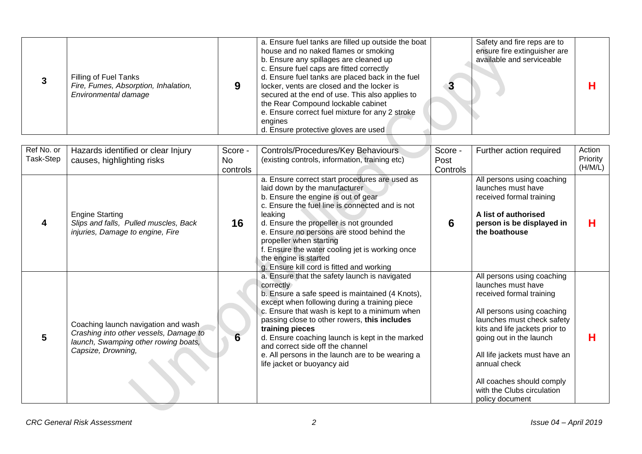|  | Filling of Fuel Tanks<br>Fire, Fumes, Absorption, Inhalation,<br>Environmental damage |  | a. Ensure fuel tanks are filled up outside the boat<br>house and no naked flames or smoking<br>b. Ensure any spillages are cleaned up<br>c. Ensure fuel caps are fitted correctly<br>d. Ensure fuel tanks are placed back in the fuel<br>locker, vents are closed and the locker is<br>secured at the end of use. This also applies to<br>the Rear Compound lockable cabinet<br>e. Ensure correct fuel mixture for any 2 stroke<br>engines<br>d. Ensure protective gloves are used |  | Safety and fire reps are to<br>ensure fire extinguisher are<br>available and serviceable |  |
|--|---------------------------------------------------------------------------------------|--|------------------------------------------------------------------------------------------------------------------------------------------------------------------------------------------------------------------------------------------------------------------------------------------------------------------------------------------------------------------------------------------------------------------------------------------------------------------------------------|--|------------------------------------------------------------------------------------------|--|
|--|---------------------------------------------------------------------------------------|--|------------------------------------------------------------------------------------------------------------------------------------------------------------------------------------------------------------------------------------------------------------------------------------------------------------------------------------------------------------------------------------------------------------------------------------------------------------------------------------|--|------------------------------------------------------------------------------------------|--|

| Ref No. or<br>Task-Step | Hazards identified or clear Injury<br>causes, highlighting risks                                                                            | Score -<br>No  | Controls/Procedures/Key Behaviours<br>(existing controls, information, training etc)                                                                                                                                                                                                                                                                                                                                                                         | Score -<br>Post | Further action required                                                                                                                                                                                                                                                                                                              | Action<br>Priority |
|-------------------------|---------------------------------------------------------------------------------------------------------------------------------------------|----------------|--------------------------------------------------------------------------------------------------------------------------------------------------------------------------------------------------------------------------------------------------------------------------------------------------------------------------------------------------------------------------------------------------------------------------------------------------------------|-----------------|--------------------------------------------------------------------------------------------------------------------------------------------------------------------------------------------------------------------------------------------------------------------------------------------------------------------------------------|--------------------|
|                         | <b>Engine Starting</b><br>Slips and falls, Pulled muscles, Back<br>injuries, Damage to engine, Fire                                         | controls<br>16 | a. Ensure correct start procedures are used as<br>laid down by the manufacturer<br>b. Ensure the engine is out of gear<br>c. Ensure the fuel line is connected and is not<br>leaking<br>d. Ensure the propeller is not grounded<br>e. Ensure no persons are stood behind the<br>propeller when starting<br>f. Ensure the water cooling jet is working once<br>the engine is started<br>g. Ensure kill cord is fitted and working                             | Controls<br>6   | All persons using coaching<br>launches must have<br>received formal training<br>A list of authorised<br>person is be displayed in<br>the boathouse                                                                                                                                                                                   | (H/M/L)<br>Н       |
| 5                       | Coaching launch navigation and wash<br>Crashing into other vessels, Damage to<br>launch, Swamping other rowing boats,<br>Capsize, Drowning, | 6              | a. Ensure that the safety launch is navigated<br>correctly<br>b. Ensure a safe speed is maintained (4 Knots),<br>except when following during a training piece<br>c. Ensure that wash is kept to a minimum when<br>passing close to other rowers, this includes<br>training pieces<br>d. Ensure coaching launch is kept in the marked<br>and correct side off the channel<br>e. All persons in the launch are to be wearing a<br>life jacket or buoyancy aid |                 | All persons using coaching<br>launches must have<br>received formal training<br>All persons using coaching<br>launches must check safety<br>kits and life jackets prior to<br>going out in the launch<br>All life jackets must have an<br>annual check<br>All coaches should comply<br>with the Clubs circulation<br>policy document | Н                  |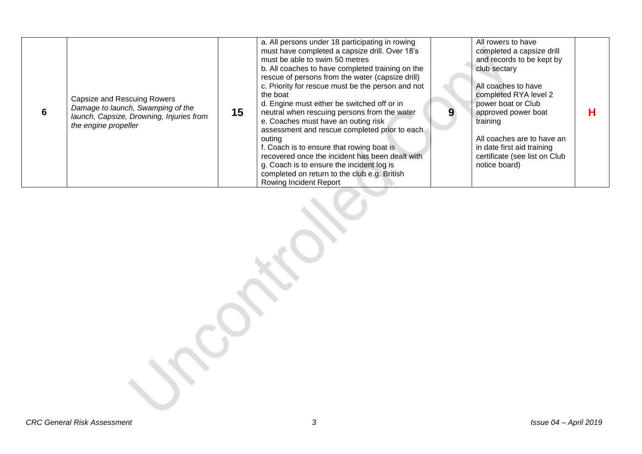| 6 | Capsize and Rescuing Rowers<br>Damage to launch, Swamping of the<br>launch, Capsize, Drowning, Injuries from<br>the engine propeller | 15 | a. All persons under 18 participating in rowing<br>must have completed a capsize drill. Over 18's<br>must be able to swim 50 metres<br>b. All coaches to have completed training on the<br>rescue of persons from the water (capsize drill)<br>c. Priority for rescue must be the person and not<br>the boat<br>d. Engine must either be switched off or in<br>neutral when rescuing persons from the water<br>e. Coaches must have an outing risk<br>assessment and rescue completed prior to each<br>outina<br>f. Coach is to ensure that rowing boat is<br>recovered once the incident has been dealt with<br>g. Coach is to ensure the incident log is<br>completed on return to the club e.g. British<br><b>Rowing Incident Report</b> |  | All rowers to have<br>completed a capsize drill<br>and records to be kept by<br>club sectary<br>All coaches to have<br>completed RYA level 2<br>power boat or Club<br>approved power boat<br>training<br>All coaches are to have an<br>in date first aid training<br>certificate (see list on Club<br>notice board) | Н |
|---|--------------------------------------------------------------------------------------------------------------------------------------|----|---------------------------------------------------------------------------------------------------------------------------------------------------------------------------------------------------------------------------------------------------------------------------------------------------------------------------------------------------------------------------------------------------------------------------------------------------------------------------------------------------------------------------------------------------------------------------------------------------------------------------------------------------------------------------------------------------------------------------------------------|--|---------------------------------------------------------------------------------------------------------------------------------------------------------------------------------------------------------------------------------------------------------------------------------------------------------------------|---|
|---|--------------------------------------------------------------------------------------------------------------------------------------|----|---------------------------------------------------------------------------------------------------------------------------------------------------------------------------------------------------------------------------------------------------------------------------------------------------------------------------------------------------------------------------------------------------------------------------------------------------------------------------------------------------------------------------------------------------------------------------------------------------------------------------------------------------------------------------------------------------------------------------------------------|--|---------------------------------------------------------------------------------------------------------------------------------------------------------------------------------------------------------------------------------------------------------------------------------------------------------------------|---|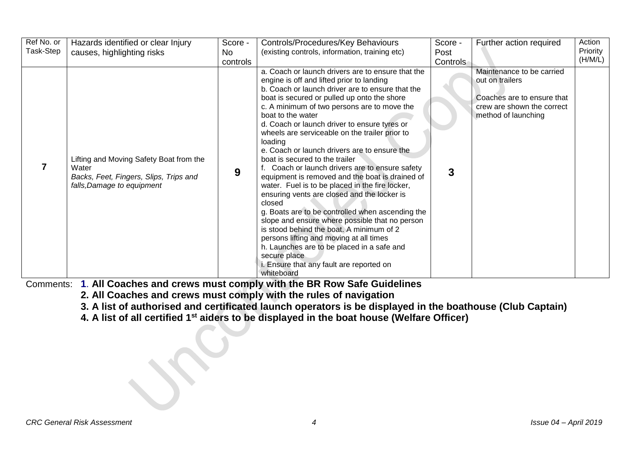| Ref No. or<br>Task-Step | Hazards identified or clear Injury<br>causes, highlighting risks                                                         | Score -<br>No<br>controls | Controls/Procedures/Key Behaviours<br>(existing controls, information, training etc)                                                                                                                                                                                                                                                                                                                                                                                                                                                                                                                                                                                                                                                                                                                                                                                                                                                                                                                        | Score -<br>Post<br>Controls | Further action required                                                                                                         | Action<br>Priority<br>(H/M/L) |
|-------------------------|--------------------------------------------------------------------------------------------------------------------------|---------------------------|-------------------------------------------------------------------------------------------------------------------------------------------------------------------------------------------------------------------------------------------------------------------------------------------------------------------------------------------------------------------------------------------------------------------------------------------------------------------------------------------------------------------------------------------------------------------------------------------------------------------------------------------------------------------------------------------------------------------------------------------------------------------------------------------------------------------------------------------------------------------------------------------------------------------------------------------------------------------------------------------------------------|-----------------------------|---------------------------------------------------------------------------------------------------------------------------------|-------------------------------|
|                         | Lifting and Moving Safety Boat from the<br>Water<br>Backs, Feet, Fingers, Slips, Trips and<br>falls, Damage to equipment | 9                         | a. Coach or launch drivers are to ensure that the<br>engine is off and lifted prior to landing<br>b. Coach or launch driver are to ensure that the<br>boat is secured or pulled up onto the shore<br>c. A minimum of two persons are to move the<br>boat to the water<br>d. Coach or launch driver to ensure tyres or<br>wheels are serviceable on the trailer prior to<br>loading<br>e. Coach or launch drivers are to ensure the<br>boat is secured to the trailer<br>f. Coach or launch drivers are to ensure safety<br>equipment is removed and the boat is drained of<br>water. Fuel is to be placed in the fire locker,<br>ensuring vents are closed and the locker is<br>closed<br>g. Boats are to be controlled when ascending the<br>slope and ensure where possible that no person<br>is stood behind the boat. A minimum of 2<br>persons lifting and moving at all times<br>h. Launches are to be placed in a safe and<br>secure place<br>i. Ensure that any fault are reported on<br>whiteboard | 3                           | Maintenance to be carried<br>out on trailers<br>Coaches are to ensure that<br>crew are shown the correct<br>method of launching |                               |

Comments: **1**. **All Coaches and crews must comply with the BR Row Safe Guidelines**

**2. All Coaches and crews must comply with the rules of navigation**

**3. A list of authorised and certificated launch operators is be displayed in the boathouse (Club Captain)**

**4. A list of all certified 1st aiders to be displayed in the boat house (Welfare Officer)**